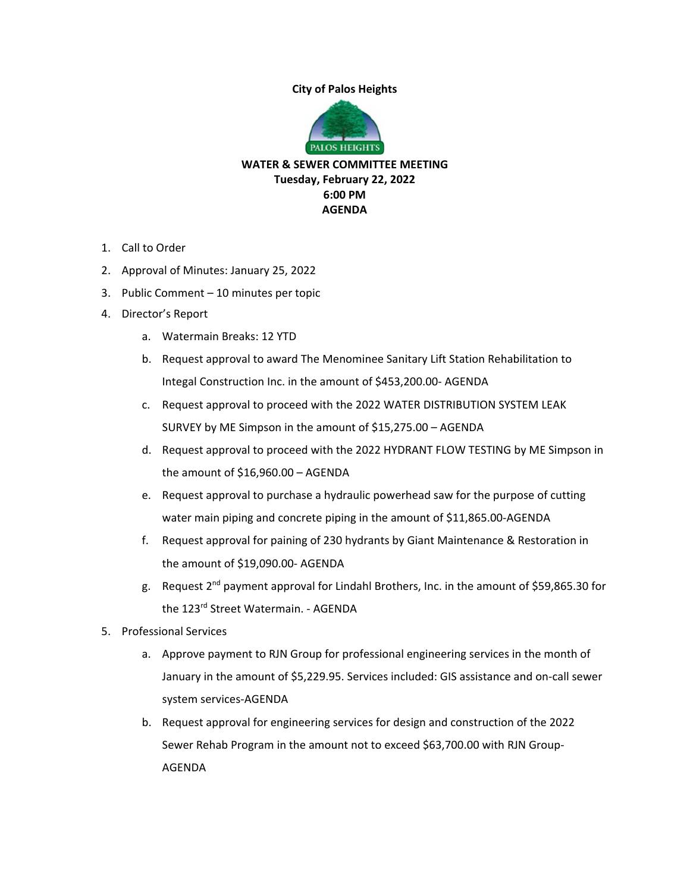## **City of Palos Heights**



**WATER & SEWER COMMITTEE MEETING Tuesday, February 22, 2022 6:00 PM AGENDA** 

- 1. Call to Order
- 2. Approval of Minutes: January 25, 2022
- 3. Public Comment 10 minutes per topic
- 4. Director's Report
	- a. Watermain Breaks: 12 YTD
	- b. Request approval to award The Menominee Sanitary Lift Station Rehabilitation to Integal Construction Inc. in the amount of \$453,200.00‐ AGENDA
	- c. Request approval to proceed with the 2022 WATER DISTRIBUTION SYSTEM LEAK SURVEY by ME Simpson in the amount of \$15,275.00 – AGENDA
	- d. Request approval to proceed with the 2022 HYDRANT FLOW TESTING by ME Simpson in the amount of \$16,960.00 – AGENDA
	- e. Request approval to purchase a hydraulic powerhead saw for the purpose of cutting water main piping and concrete piping in the amount of \$11,865.00-AGENDA
	- f. Request approval for paining of 230 hydrants by Giant Maintenance & Restoration in the amount of \$19,090.00‐ AGENDA
	- g. Request 2nd payment approval for Lindahl Brothers, Inc. in the amount of \$59,865.30 for the 123<sup>rd</sup> Street Watermain. - AGENDA
- 5. Professional Services
	- a. Approve payment to RJN Group for professional engineering services in the month of January in the amount of \$5,229.95. Services included: GIS assistance and on‐call sewer system services‐AGENDA
	- b. Request approval for engineering services for design and construction of the 2022 Sewer Rehab Program in the amount not to exceed \$63,700.00 with RJN Group‐ AGENDA